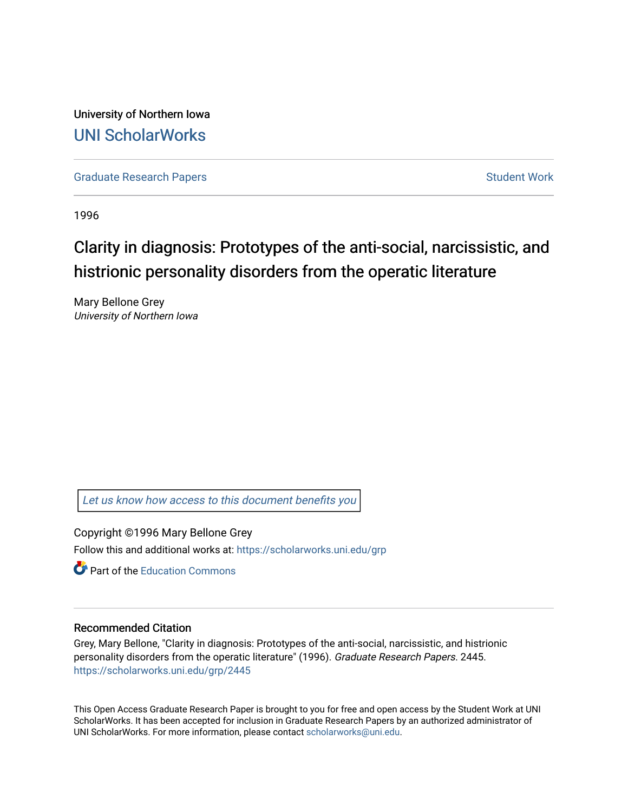University of Northern Iowa [UNI ScholarWorks](https://scholarworks.uni.edu/) 

[Graduate Research Papers](https://scholarworks.uni.edu/grp) **Student Work** Student Work

1996

# Clarity in diagnosis: Prototypes of the anti-social, narcissistic, and histrionic personality disorders from the operatic literature

Mary Bellone Grey University of Northern Iowa

[Let us know how access to this document benefits you](https://scholarworks.uni.edu/feedback_form.html) 

Copyright ©1996 Mary Bellone Grey Follow this and additional works at: [https://scholarworks.uni.edu/grp](https://scholarworks.uni.edu/grp?utm_source=scholarworks.uni.edu%2Fgrp%2F2445&utm_medium=PDF&utm_campaign=PDFCoverPages) 

**C** Part of the [Education Commons](http://network.bepress.com/hgg/discipline/784?utm_source=scholarworks.uni.edu%2Fgrp%2F2445&utm_medium=PDF&utm_campaign=PDFCoverPages)

### Recommended Citation

Grey, Mary Bellone, "Clarity in diagnosis: Prototypes of the anti-social, narcissistic, and histrionic personality disorders from the operatic literature" (1996). Graduate Research Papers. 2445. [https://scholarworks.uni.edu/grp/2445](https://scholarworks.uni.edu/grp/2445?utm_source=scholarworks.uni.edu%2Fgrp%2F2445&utm_medium=PDF&utm_campaign=PDFCoverPages) 

This Open Access Graduate Research Paper is brought to you for free and open access by the Student Work at UNI ScholarWorks. It has been accepted for inclusion in Graduate Research Papers by an authorized administrator of UNI ScholarWorks. For more information, please contact [scholarworks@uni.edu.](mailto:scholarworks@uni.edu)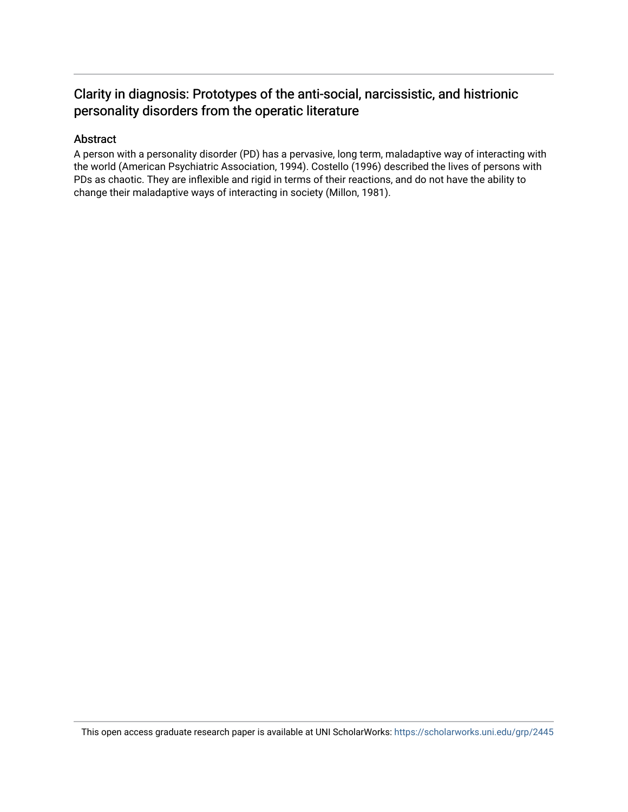### Clarity in diagnosis: Prototypes of the anti-social, narcissistic, and histrionic personality disorders from the operatic literature

### Abstract

A person with a personality disorder (PD) has a pervasive, long term, maladaptive way of interacting with the world (American Psychiatric Association, 1994). Costello (1996) described the lives of persons with PDs as chaotic. They are inflexible and rigid in terms of their reactions, and do not have the ability to change their maladaptive ways of interacting in society (Millon, 1981).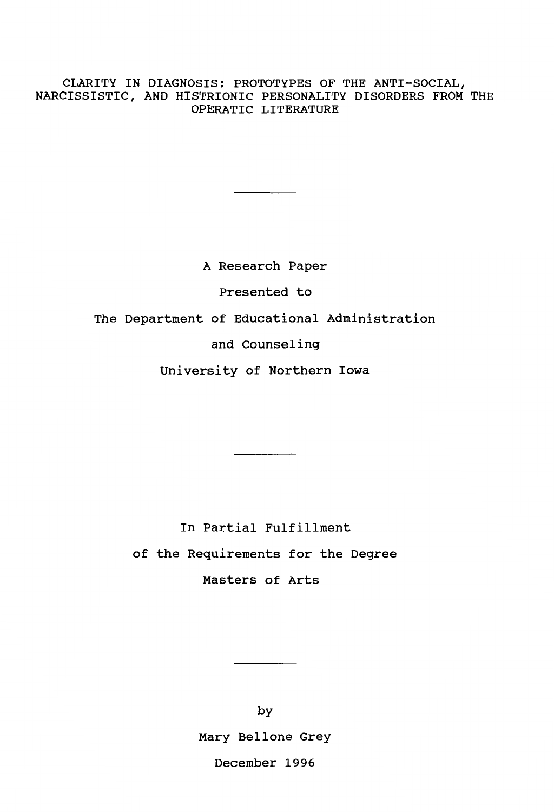### CLARITY IN DIAGNOSIS: PROTOTYPES OF THE ANTI-SOCIAL, NARCISSISTIC, AND HISTRIONIC PERSONALITY DISORDERS FROM THE OPERATIC LITERATURE

A Research Paper Presented to The Department of Educational Administration and Counseling

University of Northern Iowa

In Partial Fulfillment

of the Requirements for the Degree

Masters of Arts

by Mary Bellone Grey December 1996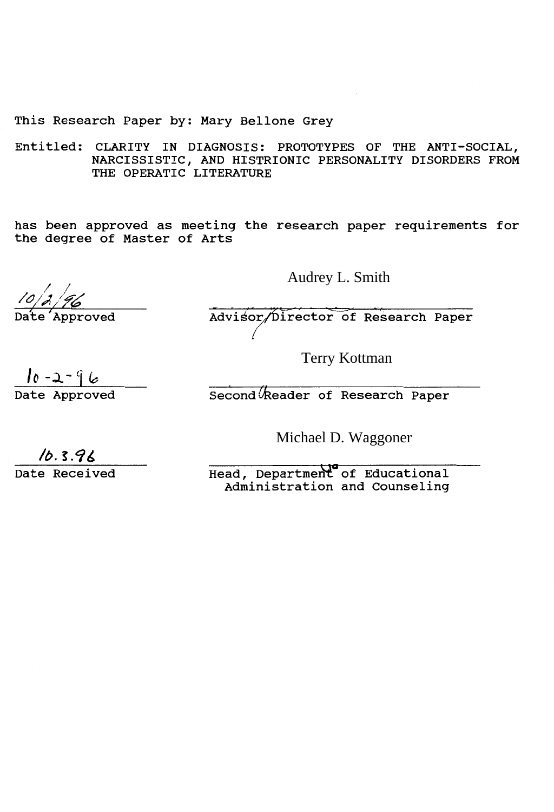This Research Paper by: Mary Bellone Grey

Entitled: CLARITY IN DIAGNOSIS: PROTOTYPES OF THE ANTI-SOCIAL, NARCISSISTIC, AND HISTRIONIC PERSONALITY DISORDERS FROM THE OPERATIC LITERATURE

has been approved as meeting the research paper requirements for the degree of Master of Arts

Audrey L. Smith

 $\leftarrow$ 

Advisor/Director of Research Paper

Terry Kottman

 $10 - 2 - 96$ 

Date Approved eacond Reader of Research Paper

Michael D. Waggoner

 $\sqrt{b.3.96}$  Date Received Head, Department of Educational Administration and Counseling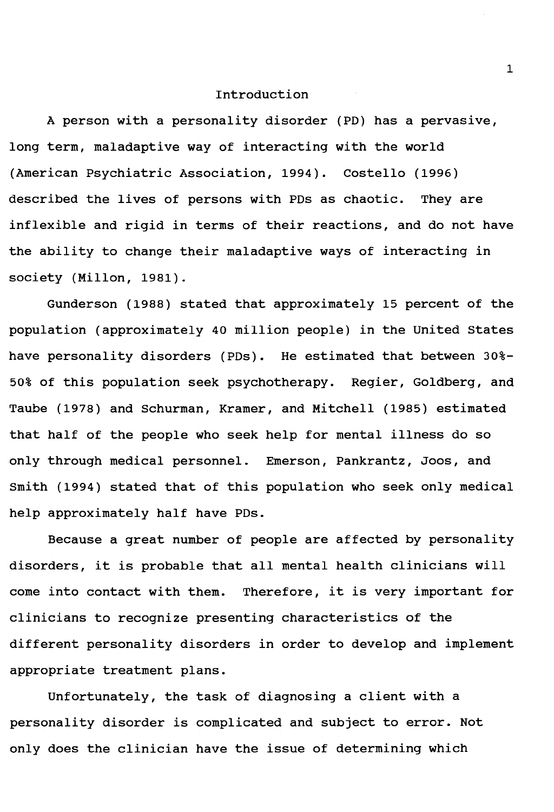### Introduction

A person with a personality disorder (PD) has a pervasive, long term, maladaptive way of interacting with the world (American Psychiatric Association, 1994). Costello (1996) described the lives of persons with PDs as chaotic. They are inflexible and rigid in terms of their reactions, and do not have the ability to change their maladaptive ways of interacting in society (Millon, 1981).

Gunderson (1988) stated that approximately 15 percent of the population (approximately 40 million people) in the United States have personality disorders (PDs). He estimated that between 30%- 50% of this population seek psychotherapy. Regier, Goldberg, and Taube (1978) and Schurman, Kramer, and Mitchell (1985) estimated that half of the people who seek help for mental illness do so only through medical personnel. Emerson, Pankrantz, Joos, and Smith (1994) stated that of this population who seek only medical help approximately half have PDs.

Because a great number of people are affected by personality disorders, it is probable that all mental health clinicians will come into contact with them. Therefore, it is very important for clinicians to recognize presenting characteristics of the different personality disorders in order to develop and implement appropriate treatment plans.

Unfortunately, the task of diagnosing a client with a personality disorder is complicated and subject to error. Not only does the clinician have the issue of determining which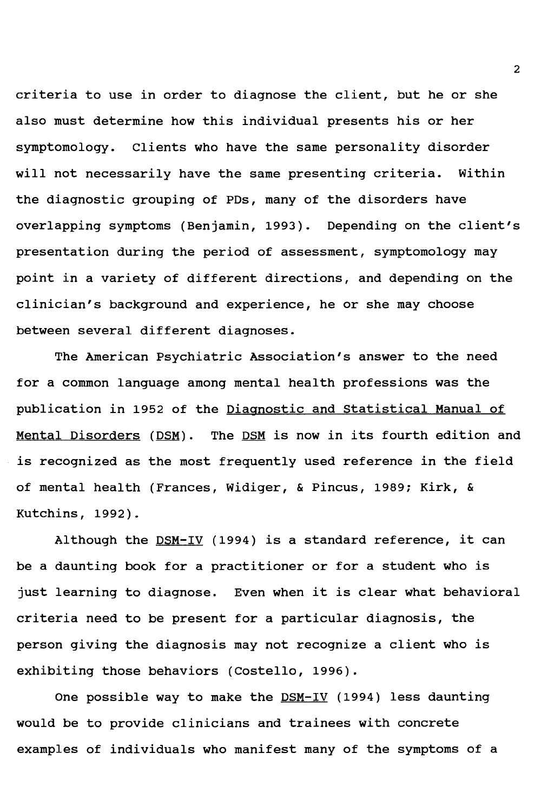criteria to use in order to diagnose the client, but he or she also must determine how this individual presents his or her symptomology. Clients who have the same personality disorder will not necessarily have the same presenting criteria. Within the diagnostic grouping of PDs, many of the disorders have overlapping symptoms (Benjamin, 1993). Depending on the client's presentation during the period of assessment, symptomology may point in a variety of different directions, and depending on the clinician's background and experience, he or she may choose between several different diagnoses.

The American Psychiatric Association's answer to the need for a common language among mental health professions was the publication in 1952 of the Diagnostic and Statistical Manual of Mental Disorders (DSM). The DSM is now in its fourth edition and is recognized as the most frequently used reference in the field of mental health (Frances, Widiger, & Pincus, 1989; Kirk, & Kutchins, 1992).

Although the  $DSM-IV$  (1994) is a standard reference, it can be a daunting book for a practitioner or for a student who is just learning to diagnose. Even when it is clear what behavioral criteria need to be present for a particular diagnosis, the person giving the diagnosis may not recognize a client who is exhibiting those behaviors (Costello, 1996).

One possible way to make the  $DSM-IV$  (1994) less daunting would be to provide clinicians and trainees with concrete examples of individuals who manifest many of the symptoms of a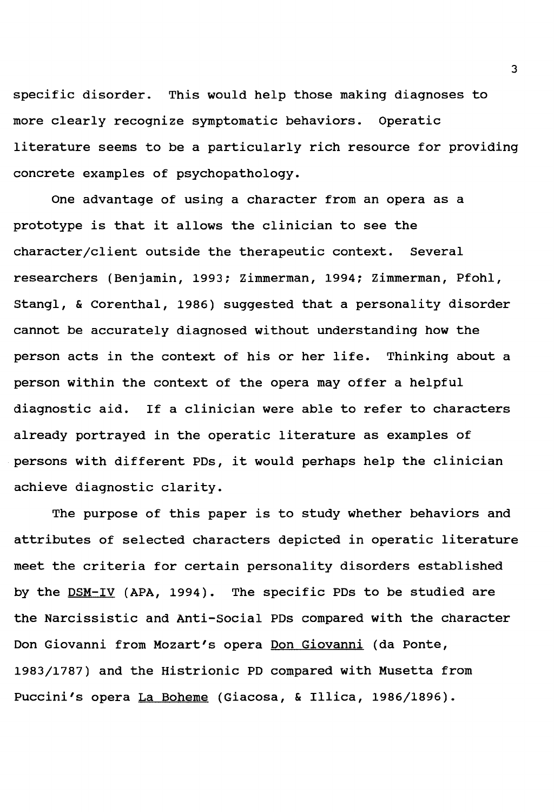specific disorder. This would help those making diagnoses to more clearly recognize symptomatic behaviors. Operatic literature seems to be a particularly rich resource for providing concrete examples of psychopathology.

One advantage of using a character from an opera as a prototype is that it allows the clinician to see the character/client outside the therapeutic context. Several researchers (Benjamin, 1993; Zimmerman, 1994; Zimmerman, Pfohl, Stangl, & Corenthal, 1986) suggested that a personality disorder cannot be accurately diagnosed without understanding how the person acts in the context of his or her life. Thinking about a person within the context of the opera may offer a helpful diagnostic aid. If a clinician were able to refer to characters already portrayed in the operatic literature as examples of persons with different PDs, it would perhaps help the clinician achieve diagnostic clarity.

The purpose of this paper is to study whether behaviors and attributes of selected characters depicted in operatic literature meet the criteria for certain personality disorders established by the DSM-IV **(APA,** 1994). The specific PDs to be studied are the Narcissistic and Anti-Social PDs compared with the character Don Giovanni from Mozart's opera Don Giovanni (da Ponte, 1983/1787) and the Histrionic PD compared with Musetta from Puccini's opera La Boheme (Giacosa, & Illica, 1986/1896).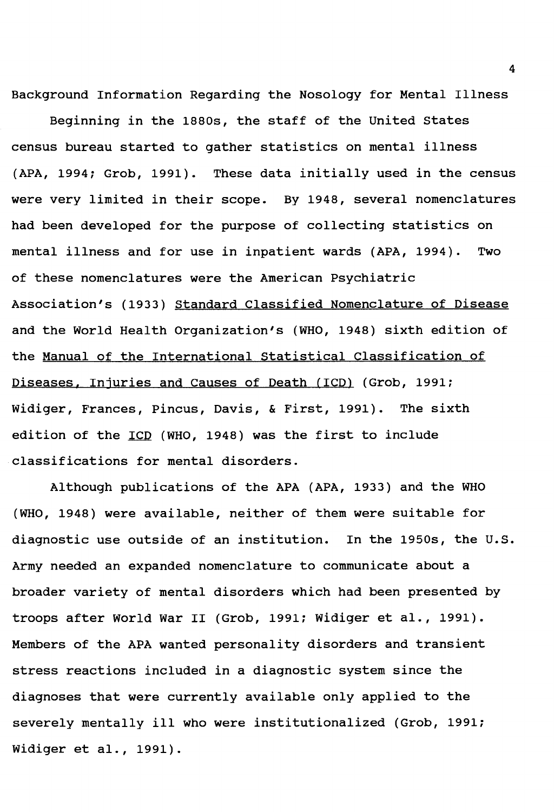Background Information Regarding the Nosology for Mental Illness

Beginning in the 1880s, the staff of the United states census bureau started to gather statistics on mental illness (APA, 1994; Grob, 1991). These data initially used in the census were very limited in their scope. By 1948, several nomenclatures had been developed for the purpose of collecting statistics on mental illness and for use in inpatient wards (APA, 1994). Two of these nomenclatures were the American Psychiatric Association's (1933) standard Classified Nomenclature of Disease and the World Health Organization's (WHO, 1948) sixth edition of the Manual of the International Statistical Classification of Diseases. Injuries and causes of Death (ICD) (Grob, 1991; Widiger, Frances, Pincus, Davis, & First, 1991). The sixth edition of the ICD (WHO, 1948) was the first to include classifications for mental disorders.

Although publications of the **APA (APA,** 1933) and the WHO (WHO, 1948) were available, neither of them were suitable for diagnostic use outside of an institution. In the 1950s, the U.S. Army needed an expanded nomenclature to communicate about a broader variety of mental disorders which had been presented by troops after World War II (Grob, 1991; Widiger et al., 1991). Members of the APA wanted personality disorders and transient stress reactions included in a diagnostic system since the diagnoses that were currently available only applied to the severely mentally ill who were institutionalized (Grob, 1991; Widiger et al., 1991).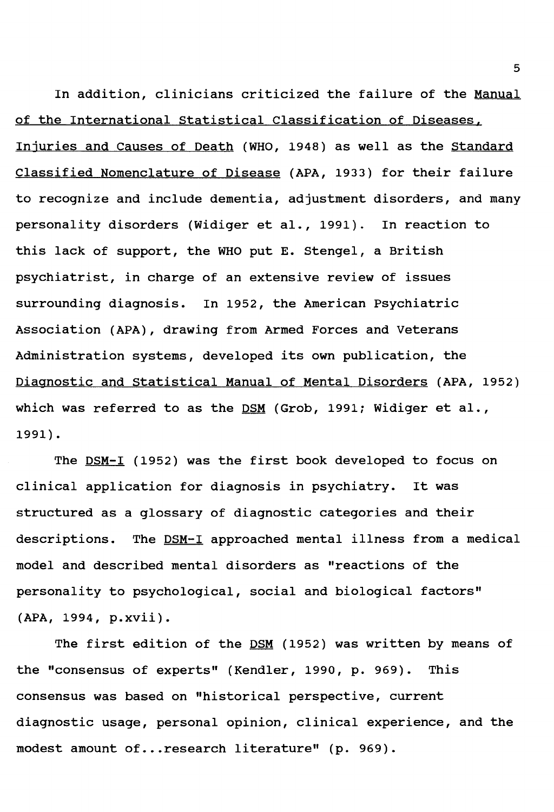In addition, clinicians criticized the failure of the Manual of the International Statistical Classification of Diseases. Injuries and Causes of Death (WHO, 1948) as well as the Standard Classified Nomenclature of Disease (APA, 1933) for their failure to recognize and include dementia, adjustment disorders, and many personality disorders (Widiger et al., 1991). In reaction to this lack of support, the WHO put E. Stengel, a British psychiatrist, in charge of an extensive review of issues surrounding diagnosis. In 1952, the American Psychiatric Association (APA), drawing from Armed Forces and Veterans Administration systems, developed its own publication, the Diagnostic and statistical Manual of Mental Disorders (APA, 1952) which was referred to as the DSM (Grob, 1991; Widiger et al., 1991).

The DSM-I (1952) was the first book developed to focus on clinical application for diagnosis in psychiatry. It was structured as a glossary of diagnostic categories and their descriptions. The DSM-I approached mental illness from a medical model and described mental disorders as "reactions of the personality to psychological, social and biological factors" **(APA,** 1994, **p.xvii).** 

The first edition of the DSM (1952) was written by means of the "consensus of experts" (Kendler, 1990, p. 969). This consensus was based on "historical perspective, current diagnostic usage, personal opinion, clinical experience, and the modest amount of... research literature" (p. 969).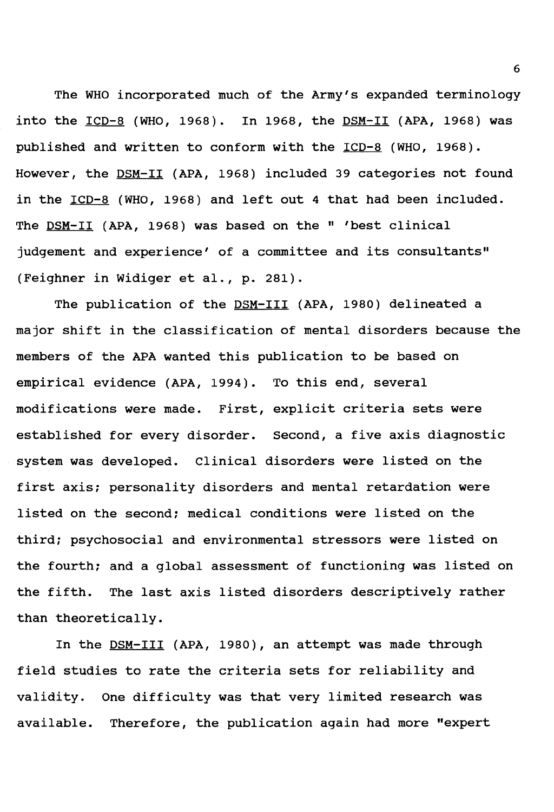The WHO incorporated much of the Army's expanded terminology into the  $ICD-8$  (WHO, 1968). In 1968, the  $DSM-II$  (APA, 1968) was</u></u> published and written to conform with the ICD-8 (WHO, 1968). However, the DSM-II (APA, 1968) included 39 categories not found in the ICD-8 (WHO, 1968) and left out 4 that had been included. The DSM-II (APA, 1968) was based on the " 'best clinical judgement and experience' of a committee and its consultants" (Feighner in Widiger et al., p. 281).

The publication of the DSM-III (APA, 1980) delineated a major shift in the classification of mental disorders because the members of the APA wanted this publication to be based on empirical evidence (APA, 1994). To this end, several modifications were made. First, explicit criteria sets were established for every disorder. Second, a five axis diagnostic system was developed. Clinical disorders were listed on the first axis; personality disorders and mental retardation were listed on the second; medical conditions were listed on the third; psychosocial and environmental stressors were listed on the fourth; and a global assessment of functioning was listed on the fifth. The last axis listed disorders descriptively rather than theoretically.

In the **DSM-III** (APA, 1980), an attempt was made through field studies to rate the criteria sets for reliability and validity. One difficulty was that very limited research was available. Therefore, the publication again had more "expert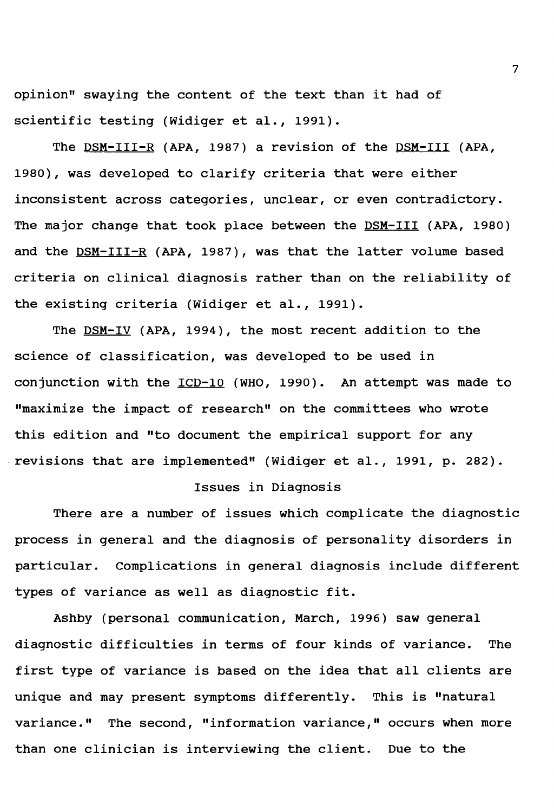opinion" swaying the content of the text than it had of scientific testing (Widiger et al., 1991).

The DSM-III-R (APA, 1987) a revision of the DSM-III (APA, 1980), was developed to clarify criteria that were either inconsistent across categories, unclear, or even contradictory. The major change that took place between the DSM-III (APA, 1980) and the DSM-III-R (APA, 1987), was that the latter volume based criteria on clinical diagnosis rather than on the reliability of the existing criteria (Widiger et al., 1991).

The DSM-IV (APA, 1994), the most recent addition to the science of classification, was developed to be used in conjunction with the ICD-10 (WHO, 1990). An attempt was made to "maximize the impact of research" on the committees who wrote this edition and "to document the empirical support for any revisions that are implemented" (Widiger et al., 1991, p. 282).

### Issues in Diagnosis

There are a number of issues which complicate the diagnostic process in general and the diagnosis of personality disorders in particular. complications in general diagnosis include different types of variance as well as diagnostic fit.

Ashby (personal communication, March, 1996) saw general diagnostic difficulties in terms of four kinds of variance. The first type of variance is based on the idea that all clients are unique and may present symptoms differently. This is "natural variance." The second, "information variance," occurs when more than one clinician is interviewing the client. Due to the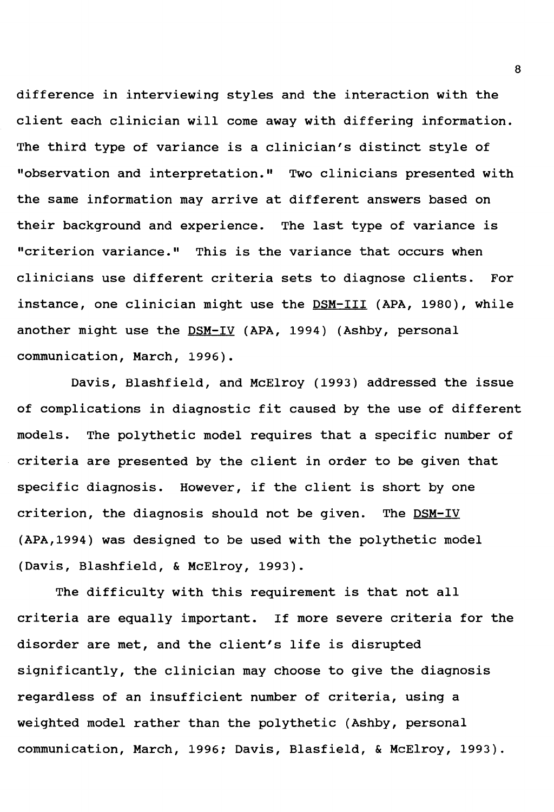difference in interviewing styles and the interaction with the client each clinician will come away with differing information. The third type of variance is a clinician's distinct style of "observation and interpretation." Two clinicians presented with the same information may arrive at different answers based on their background and experience. The last type of variance is "criterion variance." This is the variance that occurs **when**  clinicians use different criteria sets to diagnose clients. For instance, one clinician might use the DSM-III (APA, 1980), while another might use the DSM-IV (APA, 1994) (Ashby, personal communication, March, 1996).

Davis, Blashfield, and McElroy (1993) addressed the issue of complications in diagnostic fit caused by the use of different models. The polythetic model requires that a specific number of criteria are presented by the client in order to be given that specific diagnosis. However, if the client is short by one criterion, the diagnosis should not be given. The  $DSM-IV$ (APA,1994) was designed to be used with the polythetic model (Davis, Blashfield, & McElroy, 1993).

The difficulty with this requirement is that not all criteria are equally important. If more severe criteria for the disorder are met, and the client's life is disrupted significantly, the clinician may choose to give the diagnosis regardless of an insufficient number of criteria, using a weighted model rather than the polythetic (Ashby, personal communication, March, 1996; Davis, Blasfield, & McElroy, 1993).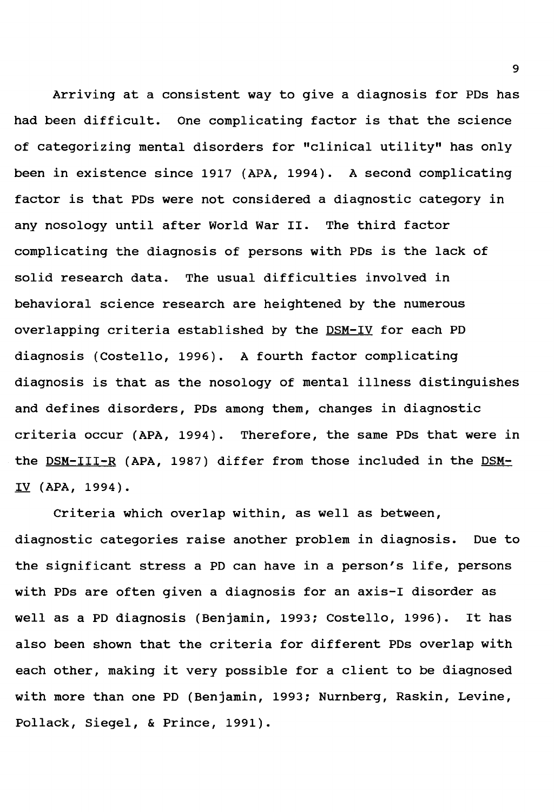Arriving at a consistent way to give a diagnosis for PDs has had been difficult. One complicating factor is that the science of categorizing mental disorders for "clinical utility" has only been in existence since 1917 (APA, 1994). A second complicating factor is that PDs were not considered a diagnostic category in any nosology until after World War II. The third factor complicating the diagnosis of persons with PDs is the lack of solid research data. The usual difficulties involved in behavioral science research are heightened by the numerous overlapping criteria established by the DSM-IV for each PD diagnosis (Costello, 1996). A fourth factor complicating diagnosis is that as the nosology of mental illness distinguishes and defines disorders, PDs among them, changes in diagnostic criteria occur (APA, 1994). Therefore, the same PDs that were in the DSM-III-R (APA, 1987) differ from those included in the DSM-IV **(APA,** 1994).

Criteria which overlap within, as well as between, diagnostic categories raise another problem in diagnosis. Due to the significant stress a PD can have in a person's life, persons with PDs are often given a diagnosis for an axis-I disorder as well as a PD diagnosis (Benjamin, 1993; Costello, 1996). It has also been shown that the criteria for different PDs overlap with each other, making it very possible for a client to be diagnosed with more than one PD (Benjamin, 1993; Nurnberg, Raskin, Levine, Pollack, Siegel, & Prince, 1991).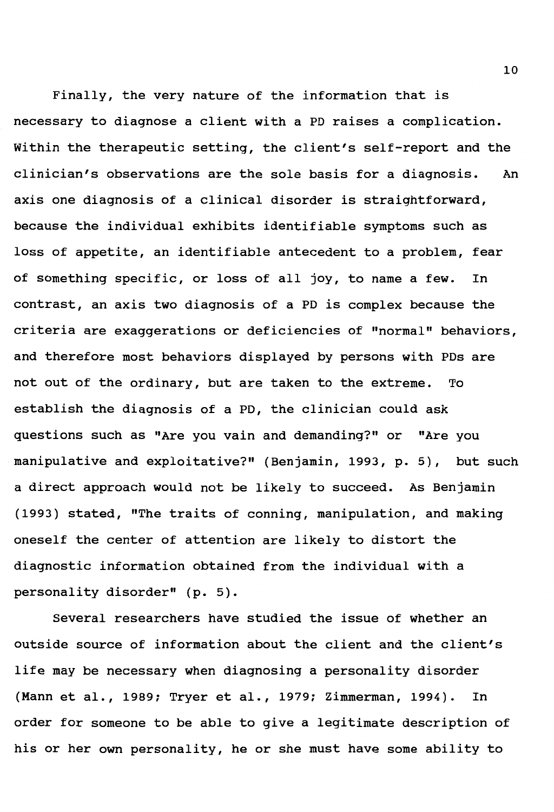Finally, the very nature of the information that is necessary to diagnose a client with a PD raises a complication. Within the therapeutic setting, the client's self-report and the clinician's observations are the sole basis for a diagnosis. An axis one diagnosis of a clinical disorder is straightforward, because the individual exhibits identifiable symptoms such as loss of appetite, an identifiable antecedent to a problem, fear of something specific, or loss of all joy, to name a few. In contrast, an axis two diagnosis of a PD is complex because the criteria are exaggerations or deficiencies of "normal" behaviors, and therefore most behaviors displayed by persons with PDs are not out of the ordinary, but are taken to the extreme. To establish the diagnosis of a PD, the clinician could ask questions such as "Are you vain and demanding?" or "Are you manipulative and exploitative?" (Benjamin, 1993, p. 5), but such a direct approach would not be likely to succeed. As Benjamin (1993) stated, "The traits of conning, manipulation, and making oneself the center of attention are likely to distort the diagnostic information obtained from the individual with a personality disorder" (p. 5).

Several researchers have studied the issue of whether an outside source of information about the client and the client's life may be necessary when diagnosing a personality disorder (Mann et al., 1989; Tryer et al., 1979; Zimmerman, 1994). In order for someone to be able to give a legitimate description of his or her own personality, he or she must have some ability to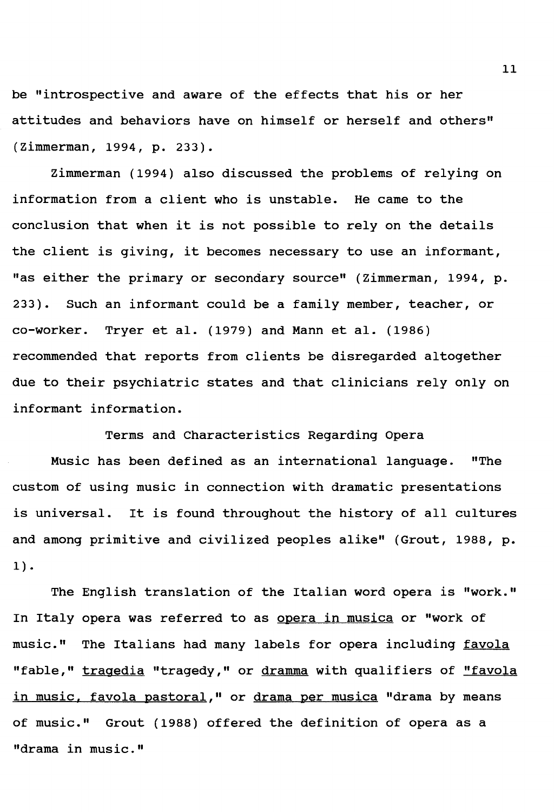be "introspective and aware of the effects that his or her attitudes and behaviors have on himself or herself and others" (Zimmerman, 1994, p. 233).

Zimmerman (1994) also discussed the problems of relying on information from a client who is unstable. He came to the conclusion that when it is not possible to rely on the details the client is giving, it becomes necessary to use an informant, "as either the primary or secondary source" (Zimmerman, 1994, p. 233). Such an informant could be a family member, teacher, or co-worker. Tryer et al. (1979) and Mann et al. (1986) recommended that reports from clients be disregarded altogether due to their psychiatric states and that clinicians rely only on informant information.

Terms and Characteristics Regarding Opera

Music has been defined as an international language. "The custom of using music in connection with dramatic presentations is universal. It is found throughout the history of all cultures and among primitive and civilized peoples alike" (Grout, 1988, p. 1) •

The English translation of the Italian word opera is "work." In Italy opera was referred to as opera in musica or "work of music." The Italians had many labels for opera including favola "fable," tragedia "tragedy," or dramma with qualifiers of "favola in music, favola pastoral," or drama per musica "drama by means of music." Grout (1988) offered the definition of opera as a "drama in music."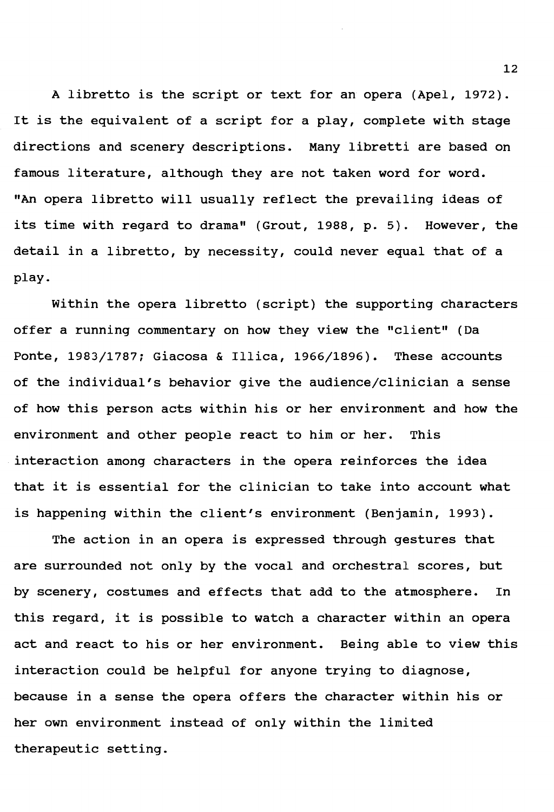A libretto is the script or text for an opera (Apel, 1972). It is the equivalent of a script for a play, complete with stage directions and scenery descriptions. Many libretti are based on famous literature, although they are not taken word for word. "An opera libretto will usually reflect the prevailing ideas of its time with regard to drama" (Grout, 1988, p. 5). However, the detail in a libretto, by necessity, could never equal that of a play.

Within the opera libretto (script) the supporting characters offer a running commentary on how they view the "client" (Da Ponte, 1983/1787; Giacosa & Illica, 1966/1896). These accounts of the individual's behavior give the audience/clinician a sense of how this person acts within his or her environment and how the environment and other people react to him or her. This interaction among characters in the opera reinforces the idea that it is essential for the clinician to take into account what is happening within the client's environment (Benjamin, 1993).

The action in an opera is expressed through gestures that are surrounded not only by the vocal and orchestral scores, but by scenery, costumes and effects that add to the atmosphere. In this regard, it is possible to watch a character within an opera act and react to his or her environment. Being able to view this interaction could be helpful for anyone trying to diagnose, because in a sense the opera offers the character within his or her own environment instead of only within the limited therapeutic setting.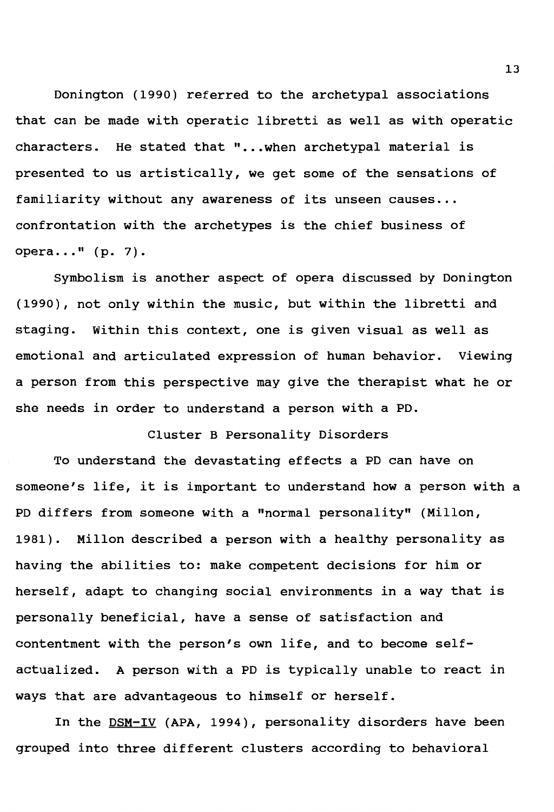Donington (1990) referred to the archetypal associations that can be made with operatic libretti as well as with operatic characters. He stated that "...when archetypal material is presented to us artistically, we get some of the sensations of familiarity without any awareness of its unseen causes... confrontation with the archetypes is the chief business of opera..."  $(p. 7)$ .

Symbolism is another aspect of opera discussed by Donington (1990), not only within the music, but within the libretti and staging. Within this context, one is given visual as well as emotional and articulated expression of human behavior. Viewing a person from this perspective may give the therapist what he or she needs in order to understand a person with a PD.

### Cluster B Personality Disorders

To understand the devastating effects a PD can have on someone's life, it is important to understand how a person with a PD differs from someone with a "normal personality" (Millon, 1981). Millon described a person with a healthy personality as having the abilities to: make competent decisions for him or herself, adapt to changing social environments in a way that is personally beneficial, have a sense of satisfaction and contentment with the person's own life, and to become selfactualized. A person with a PD is typically unable to react in ways that are advantageous to himself or herself.

In the DSM-IV **(APA,** 1994), personality disorders have been grouped into three different clusters according to behavioral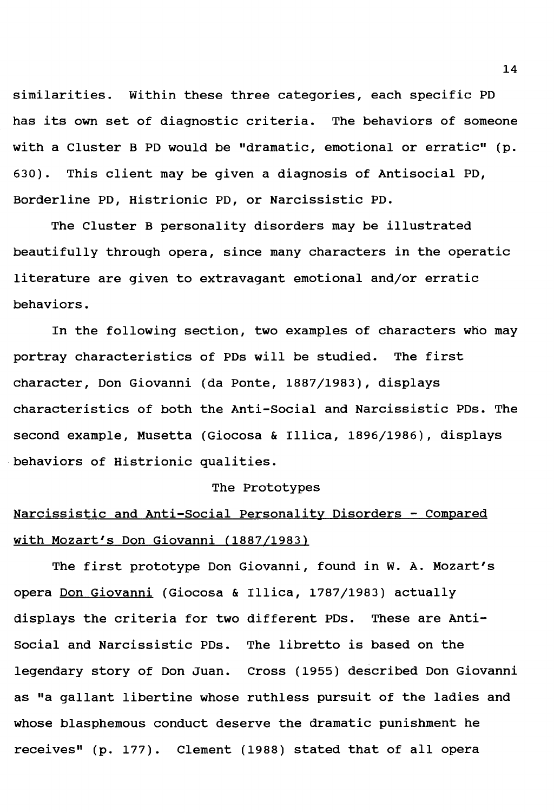similarities. Within these three categories, each specific PD has its own set of diagnostic criteria. The behaviors of someone with a Cluster B PD would be "dramatic, emotional or erratic" (p. 630). This client may be given a diagnosis of Antisocial PD, Borderline PD, Histrionic PD, or Narcissistic PD.

The Cluster B personality disorders may be illustrated beautifully through opera, since many characters in the operatic literature are given to extravagant emotional and/or erratic behaviors.

In the following section, two examples of characters who may portray characteristics of PDs will be studied. The first character, Don Giovanni (da Ponte, 1887/1983), displays characteristics of both the Anti-Social and Narcissistic PDs. The second example, Musetta (Giocosa & Illica, 1896/1986), displays behaviors of Histrionic qualities.

#### The Prototypes

## Narcissistic and Anti-Social Personality Disorders - Compared with Mozart's Don Giovanni (1887/1983)

The first prototype Don Giovanni, found in w. A. Mozart's opera Don Giovanni (Giocosa & Illica, 1787/1983) actually displays the criteria for two different PDs. These are Antisocial and Narcissistic PDs. The libretto is based on the legendary story of Don Juan. Cross (1955) described Don Giovanni as "a gallant libertine whose ruthless pursuit of the ladies and whose blasphemous conduct deserve the dramatic punishment he receives" (p. 177). Clement (1988) stated that of all opera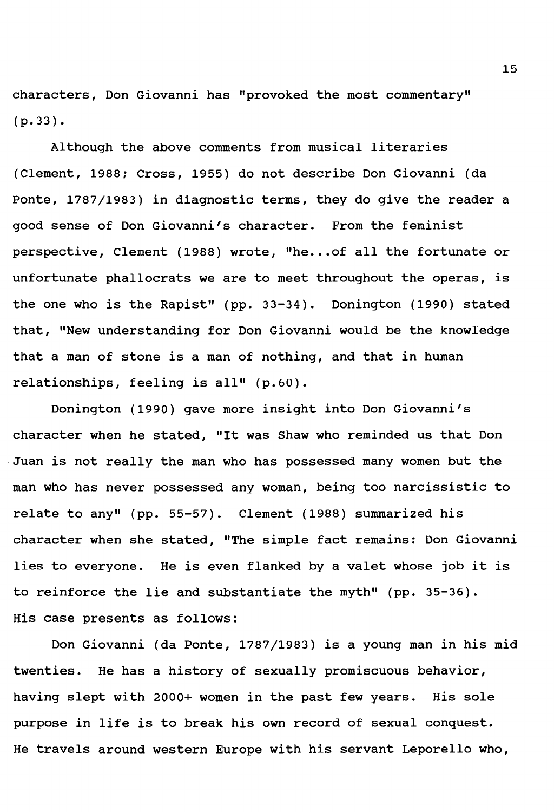characters, Don Giovanni has "provoked the most commentary" (p.33).

Although the above comments from musical literaries (Clement, 1988; Cross, 1955) do not describe Don Giovanni (da Ponte, 1787/1983) in diagnostic terms, they do give the reader a good sense of Don Giovanni's character. From the feminist perspective, Clement (1988) wrote, "he... of all the fortunate or unfortunate phallocrats we are to meet throughout the operas, is the one who is the Rapist" (pp. 33-34). Donington (1990) stated that, "New understanding for Don Giovanni would be the knowledge that a man of stone is a man of nothing, and that in human relationships, feeling is all" (p.60).

Donington (1990) gave more insight into Don Giovanni's character when he stated, "It was Shaw who reminded us that Don Juan is not really the man who has possessed many women but the man who has never possessed any woman, being too narcissistic to relate to any" (pp. 55-57). Clement (1988) summarized his character when she stated, "The simple fact remains: Don Giovanni lies to everyone. He is even flanked by a valet whose job it is to reinforce the lie and substantiate the myth" (pp. 35-36). His case presents as follows:

Don Giovanni (da Ponte, 1787/1983) is a young man in his mid twenties. He has a history of sexually promiscuous behavior, having slept with 2000+ women in the past few years. His sole purpose in life is to break his own record of sexual conquest. He travels around western Europe with his servant Leporello who,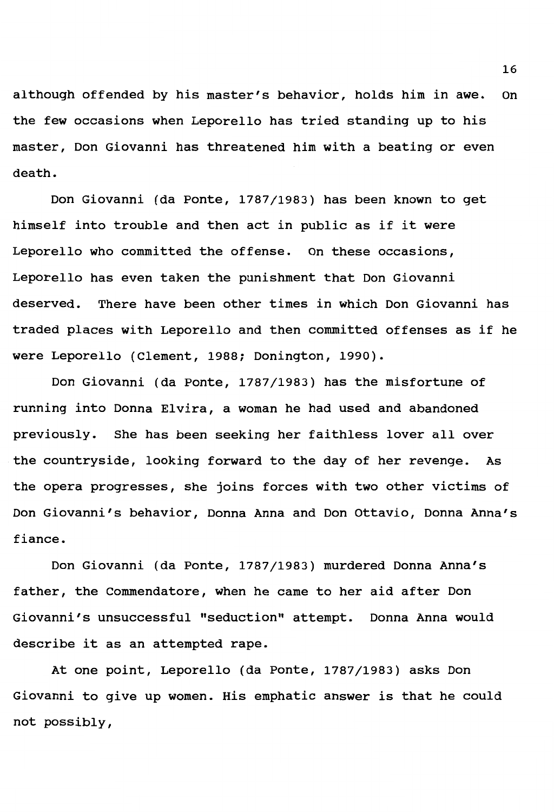although offended by his master's behavior, holds him in awe. on the few occasions when Leporello has tried standing up to his master, Don Giovanni has threatened him with a beating or even death.

Don Giovanni (da Ponte, 1787/1983) has been known to get himself into trouble and then act in public as if it were Leporello who committed the offense. On these occasions, Leporello has even taken the punishment that Don Giovanni deserved. There have been other times in which Don Giovanni has traded places with Leporello and then committed offenses as if he were Leporello (Clement, 1988; Donington, 1990).

Don Giovanni (da Ponte, 1787/1983) has the misfortune of running into Donna Elvira, a woman he had used and abandoned previously. She has been seeking her faithless lover all over the countryside, looking forward to the day of her revenge. As the opera progresses, she joins forces with two other victims of Don Giovanni's behavior, Donna Anna and Don Ottavio, Donna Anna's fiance.

Don Giovanni (da Ponte, 1787/1983) murdered Donna Anna's father, the Commendatore, when he came to her aid after Don Giovanni's unsuccessful "seduction" attempt. Donna Anna would describe it as an attempted rape.

At one point, Leporello (da Ponte, 1787/1983) asks Don Giovanni to give up women. His emphatic answer is that he could not possibly,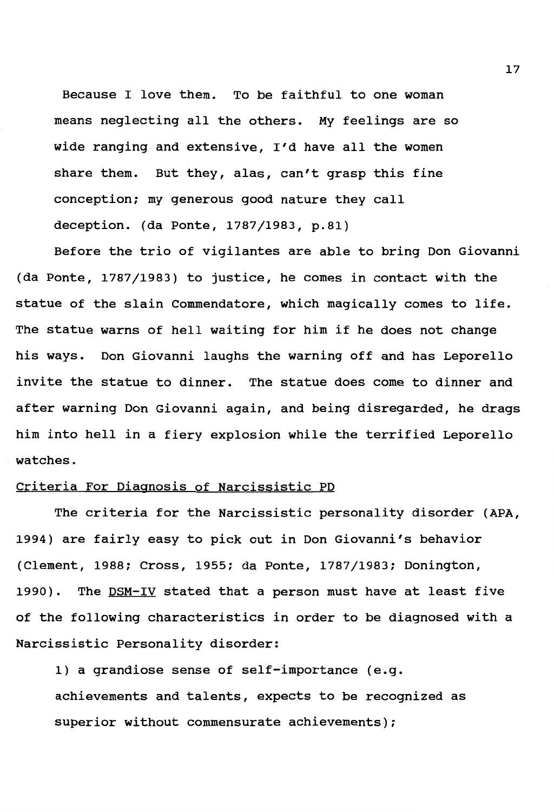Because I love them. To be faithful to one woman means neglecting all the others. My feelings are so wide ranging and extensive, I'd have all the women share them. But they, alas, can't grasp this fine conception; my generous good nature they call deception. (da Ponte, 1787/1983, p.81)

Before the trio of vigilantes are able to bring Don Giovanni (da Ponte, 1787/1983) to justice, he comes in contact with the statue of the slain Commendatore, which magically comes to life. The statue warns of hell waiting for him if he does not change his ways. Don Giovanni laughs the warning off and has Leporello invite the statue to dinner. The statue does come to dinner and after warning Don Giovanni again, and being disregarded, he drags him into hell in a fiery explosion while the terrified Leporello watches.

### criteria For Diagnosis of Narcissistic PD

The criteria for the Narcissistic personality disorder (APA, 1994) are fairly easy to pick out in Don Giovanni's behavior (Clement, 1988; Cross, 1955; da Ponte, 1787/1983; Donington, 1990). The DSM-IV stated that a person must have at least five of the following characteristics in order to be diagnosed with a Narcissistic Personality disorder:

1) a grandiose sense of self-importance (e.g. achievements and talents, expects to be recognized as superior without commensurate achievements);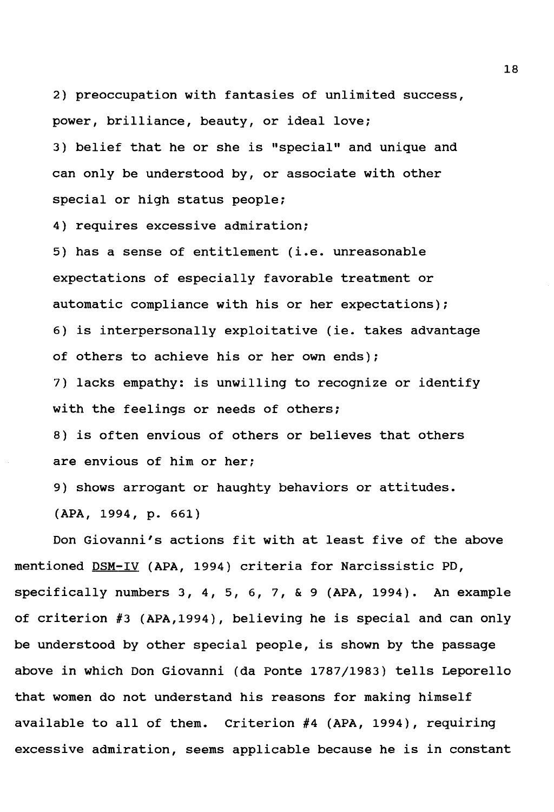2) preoccupation with fantasies of unlimited success, power, brilliance, beauty, or ideal love; 3) belief that he or she is "special" and unique and can only be understood by, or associate with other special or high status people;

4) requires excessive admiration;

5) has a sense of entitlement (i.e. unreasonable expectations of especially favorable treatment or automatic compliance with his or her expectations); 6) is interpersonally exploitative (ie. takes advantage of others to achieve his or her own ends);

7) lacks empathy: is unwilling to recognize or identify **with** the feelings or needs of others;

8) is often envious of others or believes that others are envious of him or her;

9) shows arrogant or haughty behaviors or attitudes.

**(APA,** 1994, p. 661)

Don Giovanni's actions fit with at least five of the above mentioned DSM-IV (APA, 1994) criteria for Narcissistic PD, specifically numbers 3, 4, 5, 6, 7, & 9 (APA, 1994). An example of criterion #3 (APA,1994), believing he is special and can only be understood by other special people, is shown by the passage above in which Don Giovanni (da Ponte 1787/1983) tells Leporello that women do not understand his reasons for making himself available to all of them. Criterion #4 (APA, 1994), requiring excessive admiration, seems applicable because he is in constant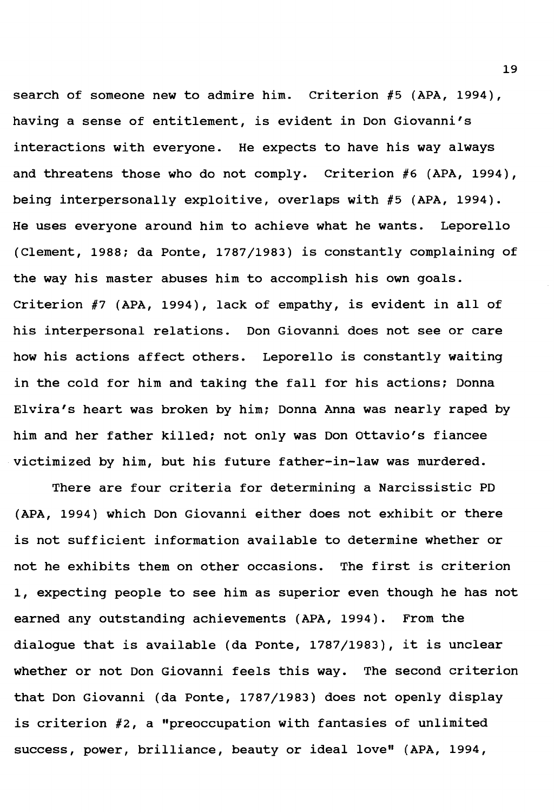search of someone new to admire him. criterion #5 (APA, 1994), having a sense of entitlement, is evident in Don Giovanni's interactions with everyone. He expects to have his way always and threatens those who do not comply. Criterion #6 (APA, 1994), being interpersonally exploitive, overlaps with #5 **(APA,** 1994). He uses everyone around him to achieve what he wants. Leporello (Clement, 1988; da Ponte, 1787/1983) is constantly complaining of the way his master abuses him to accomplish his own goals. Criterion #7 **(APA,** 1994), lack of empathy, is evident in all of his interpersonal relations. Don Giovanni does not see or care how his actions affect others. Leporello is constantly waiting in the cold for him and taking the fall for his actions; Donna Elvira's heart was broken by him; Donna Anna was nearly raped by him and her father killed; not only was Don Ottavio's fiancee victimized by him, but his future father-in-law was murdered.

There are four criteria for determining a Narcissistic PD (APA, 1994) which Don Giovanni either does not exhibit or there is not sufficient information available to determine whether or not he exhibits them on other occasions. The first is criterion 1, expecting people to see him as superior even though he has not earned any outstanding achievements **(APA,** 1994). From the dialogue that is available (da Ponte, 1787/1983), it is unclear whether or not Don Giovanni feels this way. The second criterion that Don Giovanni (da Ponte, 1787/1983) does not openly display is criterion #2, a "preoccupation with fantasies of unlimited success, power, brilliance, beauty or ideal love" (APA, 1994,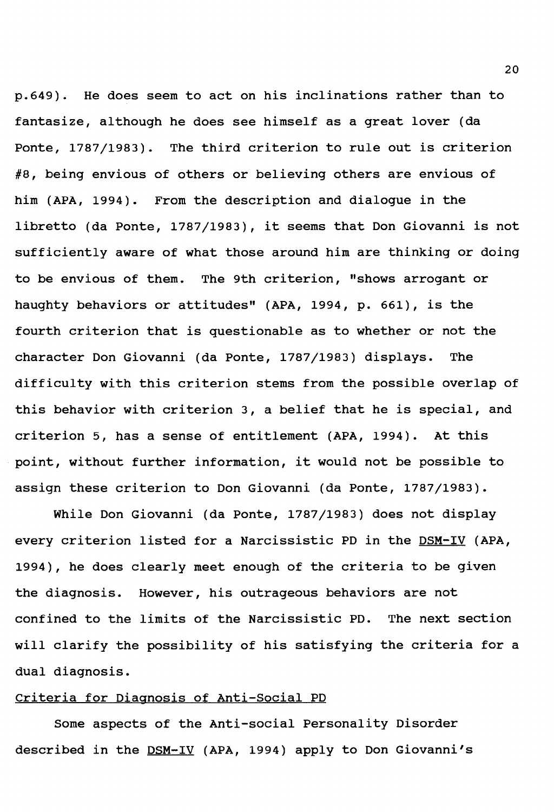p.649). He does seem to act on his inclinations rather than to fantasize, although he does see himself as a great lover (da Ponte, 1787/1983). The third criterion to rule out is criterion #8, being envious of others or believing others are envious of him **(APA,** 1994). From the description and dialogue in the libretto (da Ponte, 1787/1983), it seems that Don Giovanni is not sufficiently aware of what those around him are thinking or doing to be envious of them. The 9th criterion, "shows arrogant or haughty behaviors or attitudes" (APA, 1994, p. 661), is the fourth criterion that is questionable as to whether or not the character Don Giovanni (da Ponte, 1787/1983) displays. The difficulty with this criterion stems from the possible overlap of this behavior with criterion 3, a belief that he is special, and criterion 5, has a sense of entitlement (APA, 1994). At this point, without further information, it would not be possible to assign these criterion to Don Giovanni (da Ponte, 1787/1983).

While Don Giovanni (da Ponte, 1787/1983) does not display every criterion listed for a Narcissistic PD in the DSM-IV (APA, 1994), he does clearly meet enough of the criteria to be given the diagnosis. However, his outrageous behaviors are not confined to the limits of the Narcissistic PD. The next section will clarify the possibility of his satisfying the criteria for a dual diagnosis.

### Criteria for Diagnosis of Anti-Social PD

Some aspects of the Anti-social Personality Disorder described in the DSM-IV **(APA,** 1994) apply to Don Giovanni's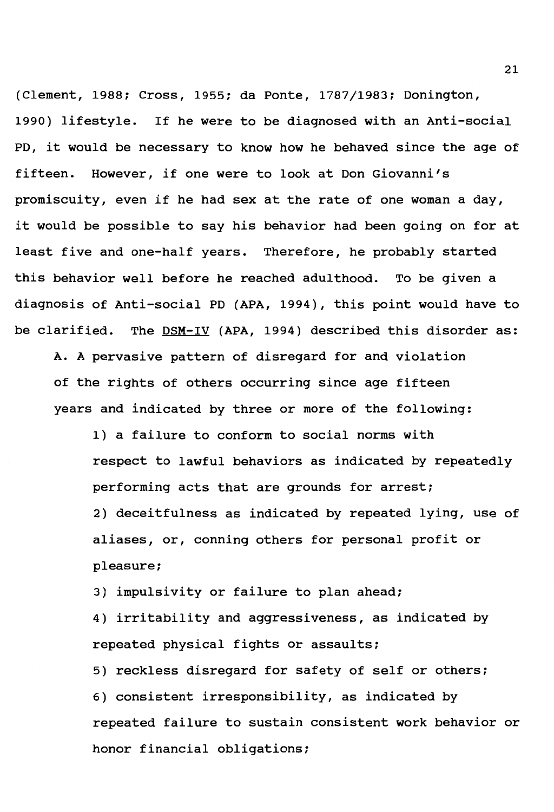(Clement, 1988: Cross, 1955: da Ponte, 1787/1983: Donington, 1990) lifestyle. If he were to be diagnosed with an Anti-social PD, it would be necessary to know how he behaved since the age of fifteen. However, if one were to look at Don Giovanni's promiscuity, even if he had sex at the rate of one woman a day, it would be possible to say his behavior had been going on for at least five and one-half years. Therefore, he probably started this behavior well before he reached adulthood. To be given a diagnosis of Anti-social PD (APA, 1994), this point would have to be clarified. The DSM-IV (APA, 1994) described this disorder as:

**A. A** pervasive pattern of disregard for and violation of the rights of others occurring since age fifteen years and indicated by three or more of the following:

1) a failure to conform to social norms with respect to lawful behaviors as indicated by repeatedly performing acts that are grounds for arrest: 2) deceitfulness as indicated by repeated lying, use of aliases, or, conning others for personal profit or pleasure:

3) impulsivity or failure to plan ahead:

4) irritability and aggressiveness, as indicated by repeated physical fights or assaults:

5) reckless disregard for safety of self or others: 6) consistent irresponsibility, as indicated by repeated failure to sustain consistent **work** behavior or honor financial obligations: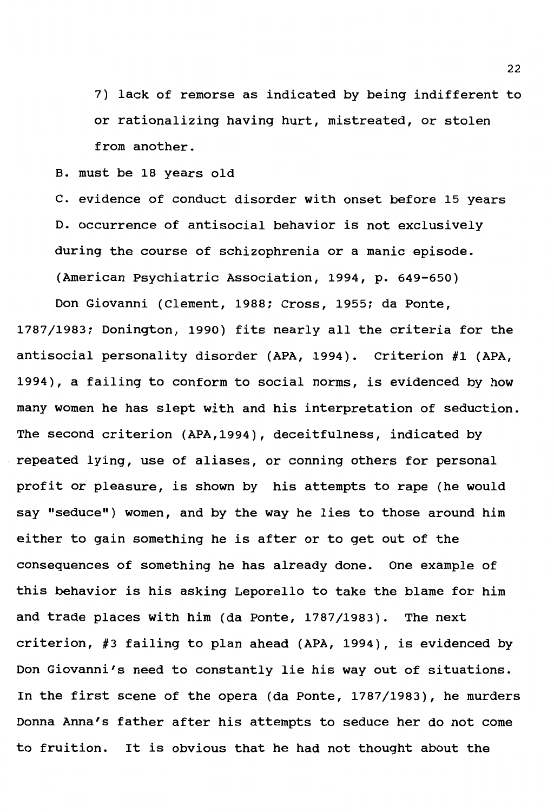7) lack of remorse as indicated by being indifferent to or rationalizing having hurt, mistreated, or stolen from another.

B. must be 18 years old

C. evidence of conduct disorder with onset before 15 years D. occurrence of antisocial behavior is not exclusively during the course of schizophrenia or a manic episode. (American Psychiatric Association, 1994, p. 649-650)

Don Giovanni (Clement, 1988; Cross, 1955; da Ponte, 1787/1983; Donington, 1990) fits nearly all the criteria for the antisocial personality disorder (APA, 1994). Criterion #1 (APA, 1994), a failing to conform to social norms, is evidenced by how many women he has slept with and his interpretation of seduction. The second criterion (APA,1994), deceitfulness, indicated by repeated lying, use of aliases, or conning others for personal profit or pleasure, is shown by his attempts to rape (he would say "seduce") women, and by the way he lies to those around him either to gain something he is after or to get out of the consequences of something he has already done. One example of this behavior is his asking Leporello to take the blame for him and trade places with him (da Ponte, 1787/1983). The next criterion, #3 failing to plan ahead **(APA,** 1994), is evidenced by Don Giovanni's need to constantly lie his way out of situations. In the first scene of the opera (da Ponte, 1787/1983), he murders Donna Anna's father after his attempts to seduce her do not come to fruition. It is obvious that he had not thought about the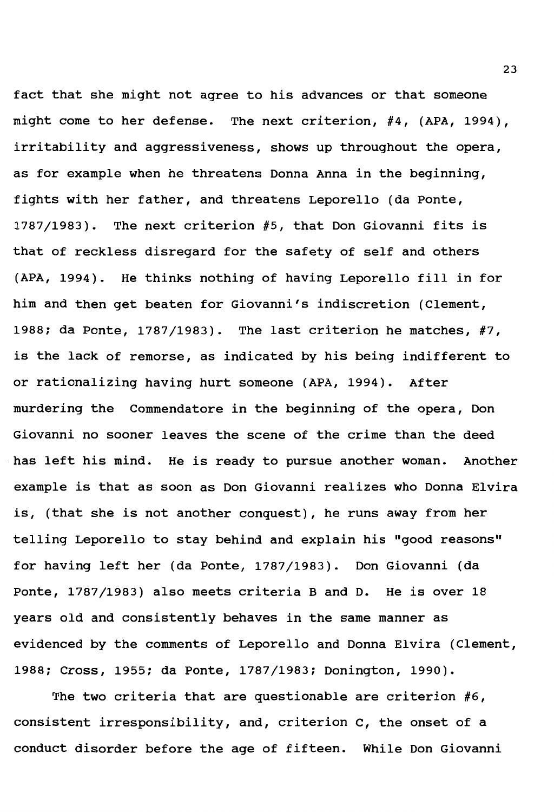fact that she might not agree to his advances or that someone might come to her defense. The next criterion, #4, (APA, 1994), irritability and aggressiveness, shows up throughout the opera, as for example when he threatens Donna Anna in the beginning, fights with her father, and threatens Leporello (da Ponte, 1787/1983). The next criterion #5, that Don Giovanni fits is that of reckless disregard for the safety of self and others (APA, 1994). He thinks nothing of having Leporello fill in for him and then get beaten for Giovanni's indiscretion {Clement, 1988; da Ponte, 1787/1983). The last criterion he matches, #7, is the lack of remorse, as indicated by his being indifferent to or rationalizing having hurt someone (APA, 1994). After murdering the Commendatore in the beginning of the opera, Don Giovanni no sooner leaves the scene of the crime than the deed has left his mind. He is ready to pursue another woman. Another example is that as soon as Don Giovanni realizes who Donna Elvira is, (that she is not another conquest), he runs away from her telling Leporello to stay behind and explain his "good reasons" for having left her (da Ponte, 1787/1983). Don Giovanni (da Ponte, 1787/1983) also meets criteria Band D. He is over 18 years old and consistently behaves in the same manner as evidenced by the comments of Leporello and Donna Elvira (Clement, 1988; Cross, 1955; da Ponte, 1787/1983; Donington, 1990).

The two criteria that are questionable are criterion #6, consistent irresponsibility, and, criterion C, the onset of a conduct disorder before the age of fifteen. While Don Giovanni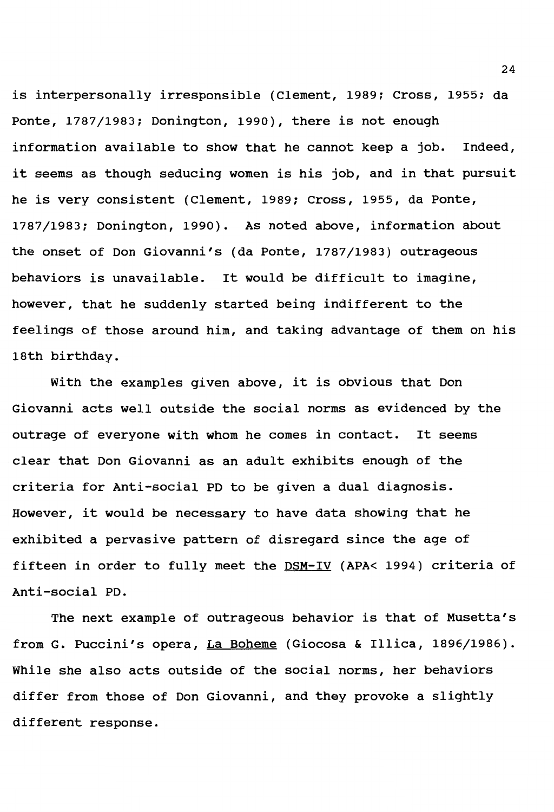is interpersonally irresponsible (Clement, 1989; Cross, 1955: da Ponte, 1787/1983; Donington, 1990), there is not enough information available to show that he cannot keep a job. Indeed, it seems as though seducing women is his job, and in that pursuit he is very consistent (Clement, 1989; cross, 1955, da Ponte, 1787/1983; Donington, 1990). As noted above, information about the onset of Don Giovanni's (da Ponte, 1787/1983) outrageous behaviors is unavailable. It would be difficult to imagine, however, that he suddenly started being indifferent to the feelings of those around him, and taking advantage of them on his 18th birthday.

With the examples given above, it is obvious that Don Giovanni acts well outside the social norms as evidenced by the outrage of everyone with whom he comes in contact. It seems clear that Don Giovanni as an adult exhibits enough of the criteria for Anti-social PD to be given a dual diagnosis. However, it would be necessary to have data showing that he exhibited a pervasive pattern of disregard since the age of fifteen in order to fully meet the DSM-IV **(APA<** 1994) criteria of Anti-social PD.

The next example of outrageous behavior is that of Musetta's from G. Puccini's opera, La Boheme (Giocosa & Illica, 1896/1986). While she also acts outside of the social norms, her behaviors differ from those of Don Giovanni, and they provoke a slightly different response.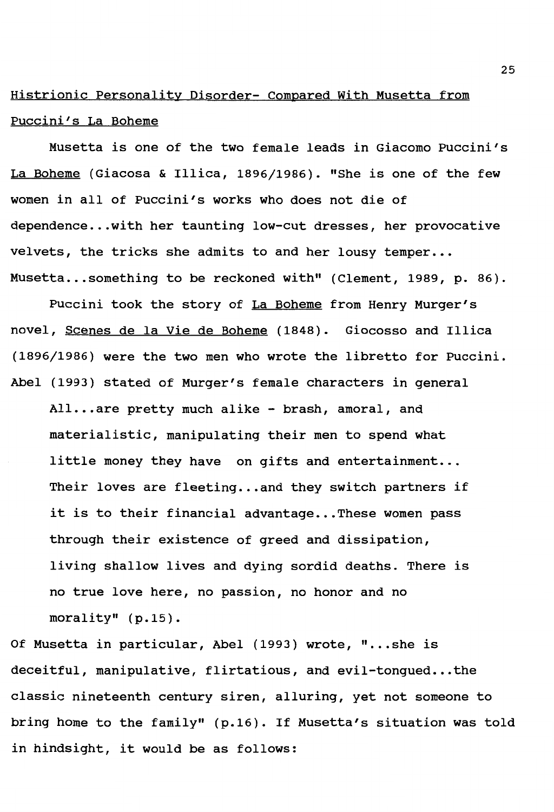### Histrionic Personality Disorder- Compared With Musetta from Puccini's La Boheme

Musetta is one of the two female leads in Giacomo Puccini's La Boheme {Giacosa & Illica, 1896/1986). "She is one of the few women in all of Puccini's works who does not die of dependence ..• with her taunting low-cut dresses, her provocative velvets, the tricks she admits to and her lousy temper... Musetta... something to be reckoned with" (Clement, 1989, p. 86).

Puccini took the story of La Boheme from Henry Murger's novel, Scenes de la Vie de Boheme {1848). Giocosso and Illica (1896/1986) were the two men who wrote the libretto for Puccini. Abel {1993) stated of Murger's female characters in general All...are pretty much alike - brash, amoral, and materialistic, manipulating their men to spend what little money they have on gifts and entertainment... Their loves are fleeting...and they switch partners if it is to their financial advantage...These women pass through their existence of greed and dissipation, living shallow lives and dying sordid deaths. There is no true love here, no passion, no honor and no morality" (p.15).

Of Musetta in particular, Abel (1993) wrote, "...she is deceitful, manipulative, flirtatious, and evil-tongued...the classic nineteenth century siren, alluring, yet not someone to bring home to the family" {p.16). If Musetta's situation was told in hindsight, it would be as follows: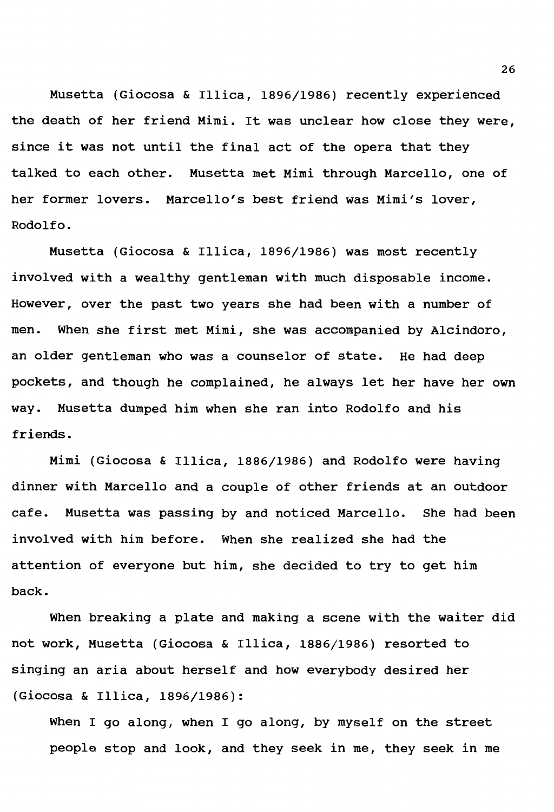Musetta (Giocosa & Illica, 1896/1986) recently experienced the death of her friend Mimi. It was unclear how close they were, since it was not until the final act of the opera that they talked to each other. Musetta met Mimi through Marcello, one of her former lovers. Marcello's best friend was Mimi's lover, Rodolfo.

Musetta (Giocosa & Illica, 1896/1986) was most recently involved with a wealthy gentleman with much disposable income. However, over the past two years she had been with a number of men. When she first met Mimi, she was accompanied by Alcindoro, an older gentleman who was a counselor of state. He had deep pockets, and though he complained, he always let her have her own way. Musetta dumped him when she ran into Rodolfo and his friends.

Mimi (Giocosa & Illica, 1886/1986) and Rodolfo were having dinner with Marcello and a couple of other friends at an outdoor cafe. Musetta was passing by and noticed Marcello. She had been involved with him before. When she realized she had the attention of everyone but him, she decided to try to get him back.

When breaking a plate and making a scene with the waiter did not work, Musetta (Giocosa & Illica, 1886/1986) resorted to singing an aria about herself and how everybody desired her (Giocosa & Illica, 1896/1986):

When I go along, when I go along, by myself on the street people stop and look, and they seek in me, they seek in me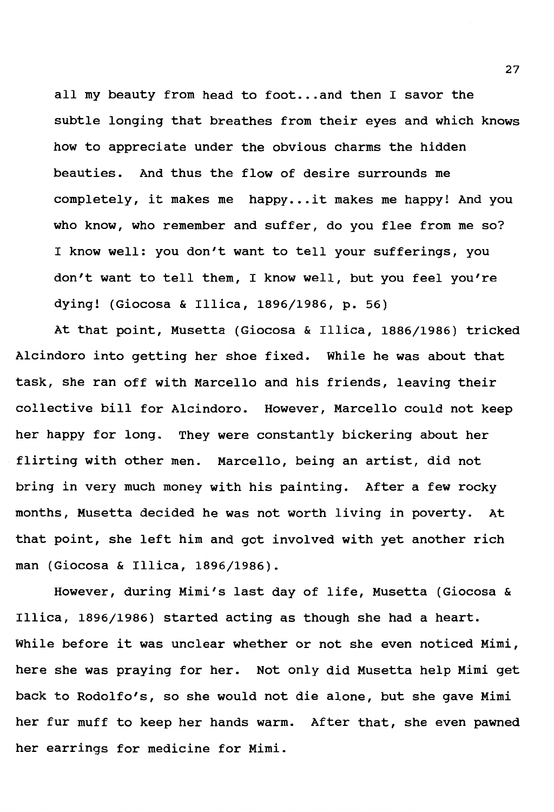all my beauty from head to foot...and then I savor the subtle longing that breathes from their eyes and which knows how to appreciate under the obvious charms the hidden beauties. And thus the flow of desire surrounds me completely, it makes me happy...it makes me happy! And you who know, who remember and suffer, do you flee from me so? I know well: you don't want to tell your sufferings, you don't want to tell them, I know well, but you feel you're dying! (Giocosa & Illica, 1896/1986, p. 56)

At that point, Musetta (Giocosa & Illica, 1886/1986) tricked Alcindoro into getting her shoe fixed. While he was about that task, she ran off with Marcello and his friends, leaving their collective bill for Alcindoro. However, Marcello could not keep her happy for long. They were constantly bickering about her flirting with other men. Marcello, being an artist, did not bring in very much money with his painting. After a few rocky months, Musetta decided he was not worth living in poverty. At that point, she left him and got involved with yet another rich man (Giocosa & Illica, 1896/1986).

However, during Mimi's last day of life, Musetta (Giocosa & Illica, 1896/1986) started acting as though she had a heart. While before it was unclear whether or not she even noticed Mimi, here she was praying for her. Not only did Musetta help Mimi get back to Rodolfo's, so she would not die alone, but she gave Mimi her fur muff to keep her hands warm. After that, she even pawned her earrings for medicine for Mimi.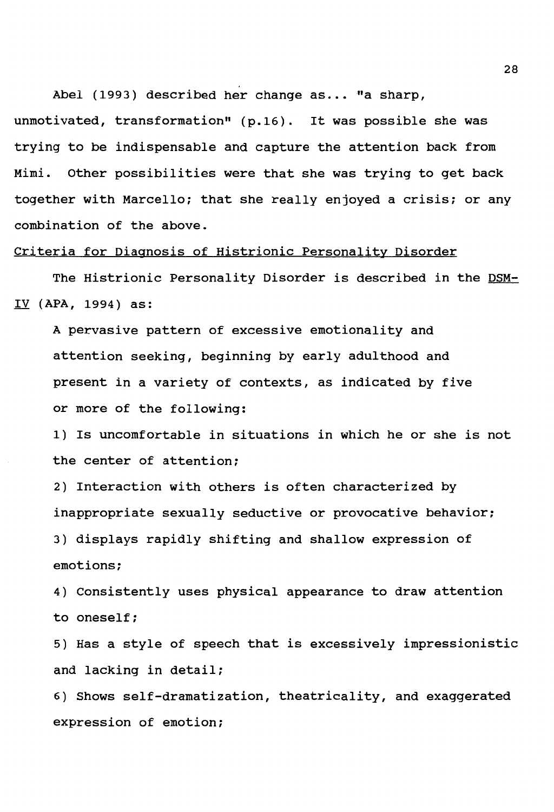Abel (1993) described her change as... "a sharp,

unmotivated, transformation" (p.16). It was possible she was trying to be indispensable and capture the attention back from Mimi. Other possibilities were that she was trying to get back together with Marcello; that she really enjoyed a crisis; or any combination of the above.

### Criteria for Diagnosis of Histrionic Personality Disorder

The Histrionic Personality Disorder is described in the DSM-IV **(APA,** 1994) as:

A pervasive pattern of excessive emotionality and attention seeking, beginning by early adulthood and present in a variety of contexts, as indicated by five or more of the following:

1) Is uncomfortable in situations in which he or she is not the center of attention;

2) Interaction with others is often characterized by inappropriate sexually seductive or provocative behavior;

3) displays rapidly shifting and shallow expression of emotions;

4) Consistently uses physical appearance to draw attention to oneself;

5) Has a style of speech that is excessively impressionistic and lacking in detail;

6) Shows self-dramatization, theatricality, and exaggerated expression of emotion;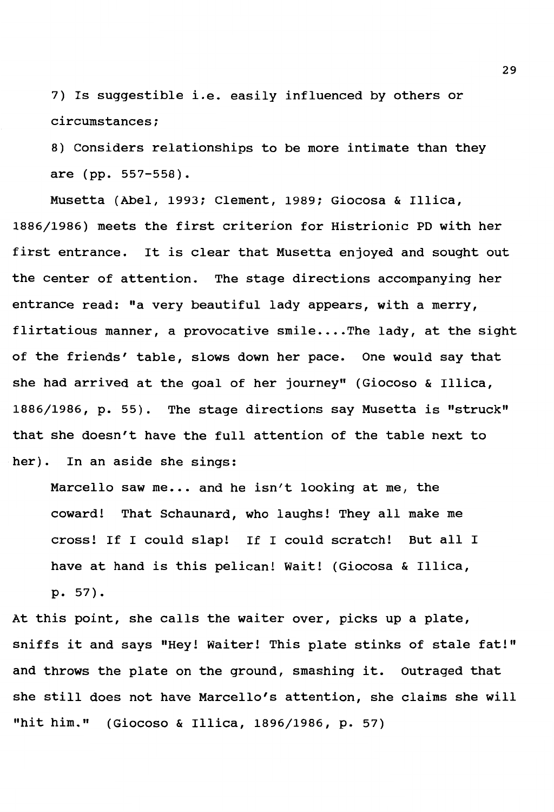7) Is suggestible i.e. easily influenced by others or circumstances;

8) Considers relationships to be more intimate than they are (pp. 557-558).

Musetta (Abel, 1993; Clement, 1989; Giocosa & Illica, 1886/1986) meets the first criterion for Histrionic PD with her first entrance. It is clear that Musetta enjoyed and sought out the center of attention. The stage directions accompanying her entrance read: "a very beautiful lady appears, with a merry, flirtatious manner, a provocative smile.... The lady, at the sight of the friends' table, slows down her pace. One would say that she had arrived at the goal of her journey" (Giocoso & Illica, 1886/1986, p. 55). The stage directions say Musetta is "struck" that she doesn't have the full attention of the table next to her). In an aside she sings:

Marcello saw me... and he isn't looking at me, the coward! That Schaunard, who laughs! They all make me cross! If I could slap! If I could scratch! But all I have at hand is this pelican! Wait! (Giocosa & Illica, p. 57).

At this point, she calls the waiter over, picks up a plate, sniffs it and says "Hey! Waiter! This plate stinks of stale fat!" and throws the plate on the ground, smashing it. outraged that she still does not have Marcello's attention, she claims she will "hit him." (Giocoso & Illica, 1896/1986, p. 57)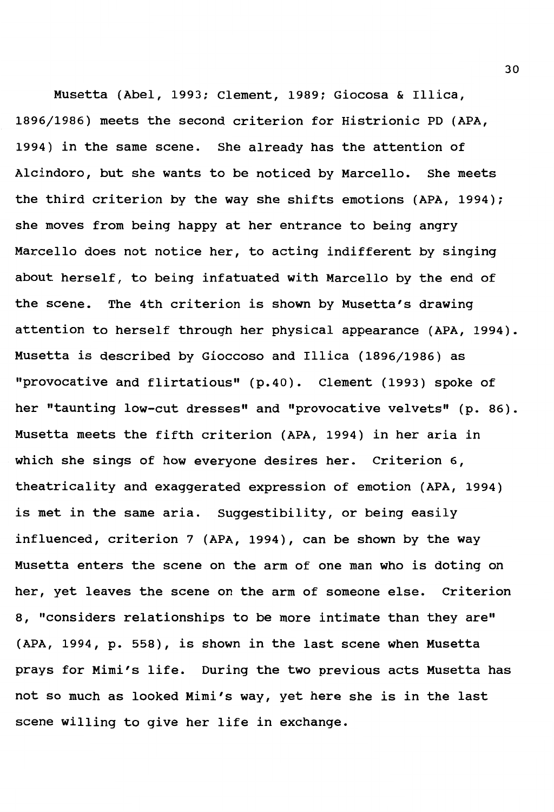Musetta (Abel, 1993; Clement, 1989; Giocosa & Illica, 1896/1986) meets the second criterion for Histrionic PD (APA, 1994) in the same scene. She already has the attention of Alcindoro, but she wants to be noticed by Marcello. She meets the third criterion by the way she shifts emotions (APA, 1994); she moves from being happy at her entrance to being angry Marcello does not notice her, to acting indifferent by singing about herself, to being infatuated with Marcello by the end of the scene. The 4th criterion is shown by Musetta's drawing attention to herself through her physical appearance (APA, 1994). Musetta is described by Gioccoso and Illica {1896/1986) as "provocative and flirtatious" {p.40). Clement {1993) spoke of her "taunting low-cut dresses" and "provocative velvets" (p. 86). Musetta meets the fifth criterion {APA, 1994) in her aria in which she sings of how everyone desires her. Criterion 6, theatricality and exaggerated expression of emotion (APA, 1994) is met in the same aria. Suggestibility, or being easily influenced, criterion 7 (APA, 1994), can be shown by the way Musetta enters the scene on the arm of one man who is doting on her, yet leaves the scene on the arm of someone else. criterion 8, "considers relationships to be more intimate than they are" (APA, 1994, p. 558), is shown in the last scene when Musetta prays for Mimi's life. During the two previous acts Musetta has not so much as looked Mimi's way, yet here she is in the last scene willing to give her life in exchange.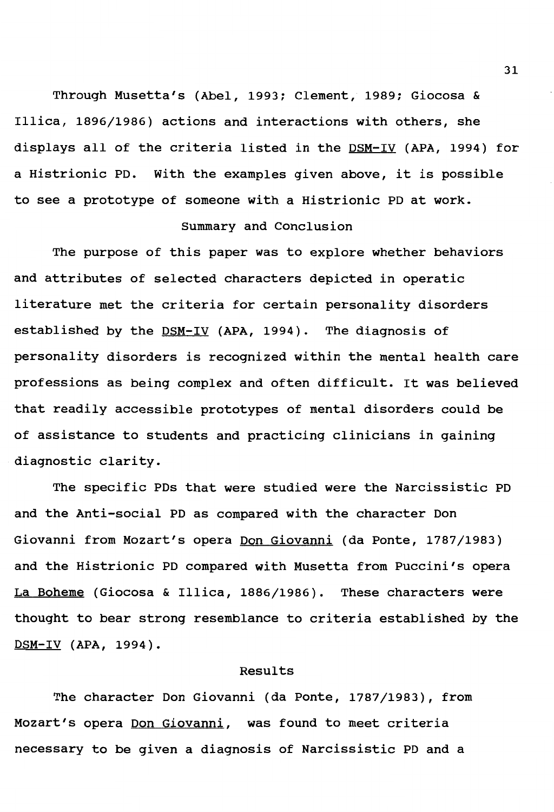Through Musetta's (Abel, 1993; Clement, 1989; Giocosa & Illica, 1896/1986) actions and interactions with others, she displays all of the criteria listed in the DSM-IV (APA, 1994) for a Histrionic PD. With the examples given above, it is possible to see a prototype of someone with a Histrionic PD at work.

### Summary and Conclusion

The purpose of this paper was to explore whether behaviors and attributes of selected characters depicted in operatic literature met the criteria for certain personality disorders established by the DSM-IV (APA, 1994). The diagnosis of personality disorders is recognized within the mental health care professions as being complex and often difficult. It was believed that readily accessible prototypes of mental disorders could be of assistance to students and practicing clinicians in gaining diagnostic clarity.

The specific PDs that were studied were the Narcissistic PD and the Anti-social PD as compared with the character Don Giovanni from Mozart's opera Don Giovanni (da Ponte, 1787/1983) and the Histrionic PD compared with Musetta from Puccini's opera La Boheme (Giocosa & Illica, 1886/1986). These characters were thought to bear strong resemblance to criteria established by the DSM-IV **(APA,** 1994).

### Results

The character Don Giovanni (da Ponte, 1787/1983), from Mozart's opera Don Giovanni, was found to meet criteria necessary to be given a diagnosis of Narcissistic PD and a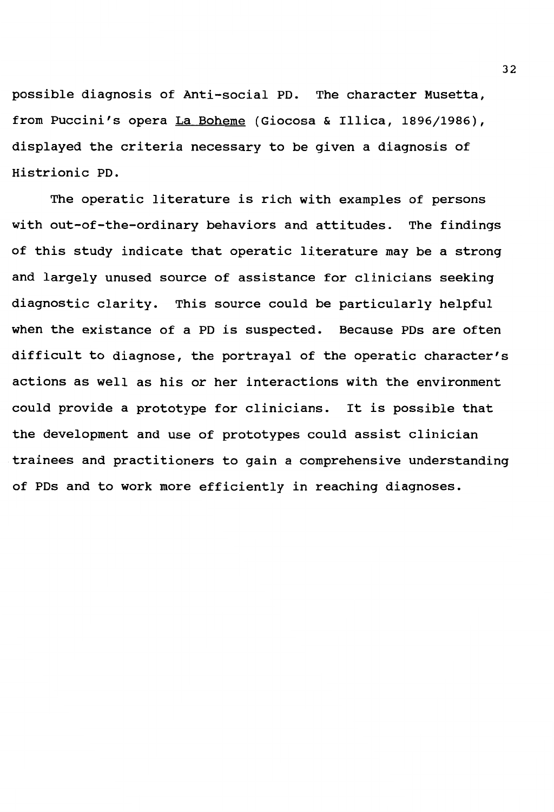possible diagnosis of Anti-social PD. The character Musetta, from Puccini's opera La Boheme (Giocosa & Illica, 1896/1986), displayed the criteria necessary to be given a diagnosis of Histrionic PD.

The operatic literature is rich with examples of persons with out-of-the-ordinary behaviors and attitudes. The findings of this study indicate that operatic literature may be a strong and largely unused source of assistance for clinicians seeking diagnostic clarity. This source could be particularly helpful when the existance of a PD is suspected. Because PDs are often difficult to diagnose, the portrayal of the operatic character's actions as well as his or her interactions with the environment could provide a prototype for clinicians. It is possible that the development and use of prototypes could assist clinician trainees and practitioners to gain a comprehensive understanding of PDs and to work more efficiently in reaching diagnoses.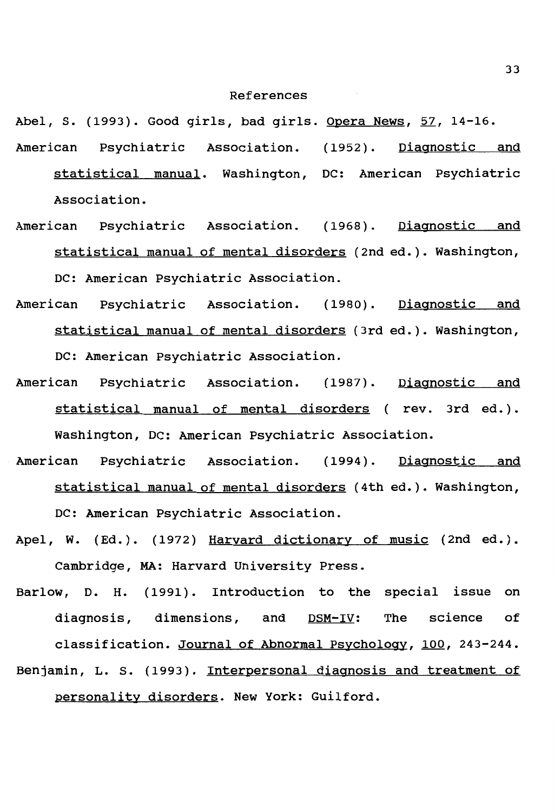#### References

Abel, S. (1993). Good girls, bad girls. Opera News, 57, 14-16.

- American Psychiatric Association. (1952). Diagnostic and statistical manual. Washington, DC: American Psychiatric Association.
- American Psychiatric Association. (1968). Diagnostic and statistical manual of mental disorders (2nd ed.). Washington, DC: American Psychiatric Association.
- American Psychiatric Association. (1980). Diagnostic and statistical manual of mental disorders (3rd ed.). Washington, DC: American Psychiatric Association.
- American Psychiatric Association. (1987). Diagnostic and statistical manual of mental disorders ( rev. 3rd ed.). Washington, DC: American Psychiatric Association.
- American Psychiatric Association. (1994). Diagnostic and statistical manual of mental disorders (4th ed.). Washington, DC: American Psychiatric Association.
- Apel, W. (Ed.). (1972) Harvard dictionary of music (2nd ed.). Cambridge, MA: Harvard University Press.
- Barlow, D. H. (1991). Introduction to the special issue on diagnosis, dimensions, and  $DSM-IV$ : The science of classification. Journal of Abnormal Psychology, 100, 243-244. Benjamin, L. s. (1993). Interpersonal diagnosis and treatment of personality disorders. New York: Guilford.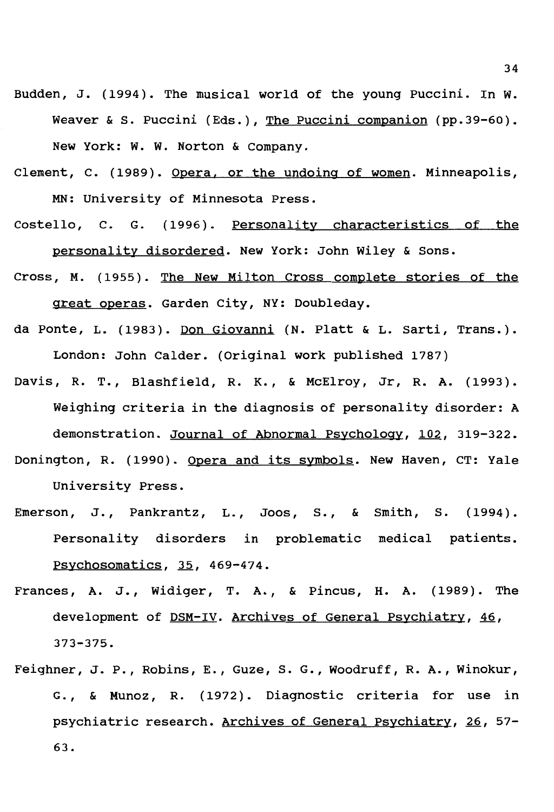- Budden, J. (1994). The musical world of the young Puccini. In **w.**  Weaver & s. Puccini (Eds.), The Puccini companion (pp.39-60). New York: **w. w.** Norton & Company.
- Clement, c. (1989). Opera. or the undoing of women. Minneapolis, MN: University of Minnesota Press.
- Costello, c. G. (1996). Personality characteristics of the personality disordered. New York: John Wiley & Sons.
- Cross, **M.** (1955). The New Milton Cross complete stories of the great operas. Garden City, NY: Doubleday.
- da Ponte, L. (1983). Don Giovanni (N. Platt & L. Sarti, Trans.). London: John Calder. (Original work published 1787)
- Davis, R. T., Blashfield, R. K., & McElroy, Jr, R. A. (1993). Weighing criteria in the diagnosis of personality disorder: A demonstration. Journal of Abnormal Psychology, 102, 319-322. Donington, R. (1990). Opera and its symbols. New Haven, CT: Yale

University Press.

- Emerson, J., Pankrantz, L., Joos, S., & Smith, S. (1994). Personality disorders in problematic medical patients. Psychosomatics, 35, 469-474.
- Frances, A. J., Widiger, T. A., & Pincus, H. A. (1989). The development of DSM-IV. Archives of General Psychiatry, 46, 373-375.
- Feighner, J. P. , Robins, E. , Guze, s. G. , Woodruff, R. A. , Winokur, G., & Munoz, R. (1972). Diagnostic criteria for use in psychiatric research. Archives of General Psychiatry. 26, 57- 63.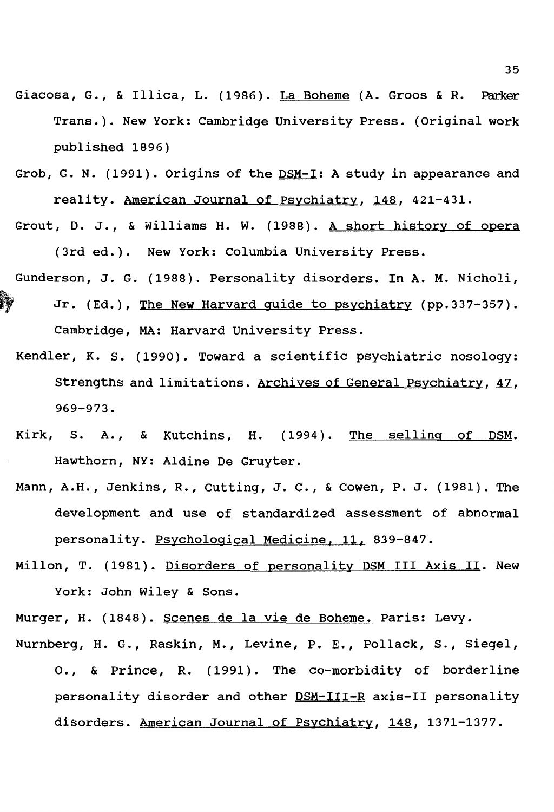- Giacosa, G., & Illica, L. (1986). La Boheme (A. Groos & R. Parker Trans.). New York: Cambridge University Press. (Original work published 1896)
- Grob, G. N. (1991). Origins of the DSM-I: A study in appearance and reality. American Journal of Psychiatry, 148, 421-431.
- Grout, D. J., & Williams H. W. (1988). A short history of opera (3rd ed.). New York: Columbia University Press.
- Gunderson, J. G. (1988). Personality disorders. In **A. M.** Nicholi, Jr. (Ed.), The New Harvard quide to psychiatry (pp.337-357). Cambridge, MA: Harvard University Press.
	- Kendler, K. s. (1990). Toward a scientific psychiatric nosology: strengths and limitations. Archives of General Psychiatry, 47, **969-973.**
	- **Kirk,** S. **A.,** & Kutchins, H. (1994). The selling of **DSM.**  Hawthorn, NY: Aldine De Gruyter.
	- Mann, A.H., Jenkins, R., cutting, J. c., & Cowen, P. J. (1981). The development and use of standardized assessment of abnormal personality. Psychological Medicine, 11, 839-847.
	- Millon, T. (1981). Disorders of personality DSM III Axis II. New York: John Wiley & Sons.

Murger, H. (1848). Scenes de la vie de Boheme. Paris: Levy. Nurnberg, H. G., Raskin, M., Levine, P. E., Pollack, s., Siegel,

o., & Prince, R. (1991). The co-morbidity of borderline personality disorder and other DSM-III-R axis-II personality disorders. American Journal of Psychiatry, 148, 1371-1377.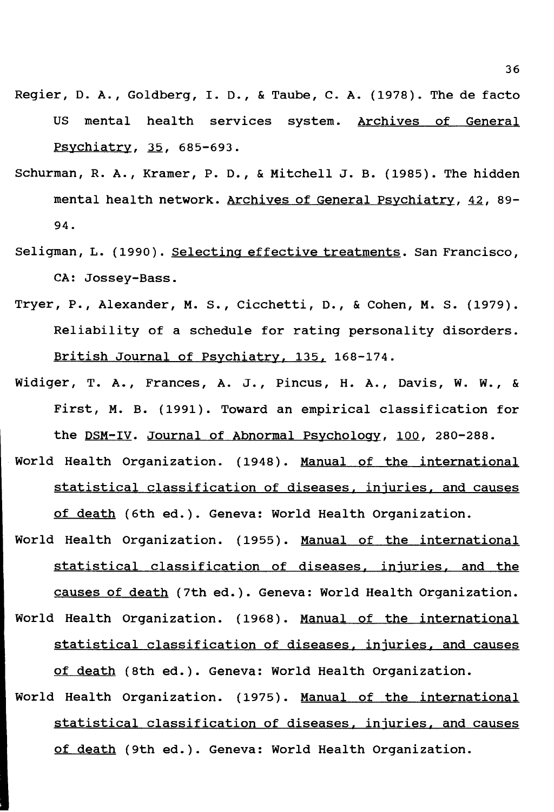- Regier, D. A., Goldberg, I. D., & Taube, C. A. (1978). The de facto US mental health services system. Archives of General Psychiatry, 35, 685-693.
- Schurman, R. A., Kramer, P. D., & Mitchell J.B. (1985). The hidden mental health network. Archives of General Psychiatry. 42, 89- 94.
- Seligman, L. (1990). Selecting effective treatments. San Francisco, CA: Jossey-Bass.
- Tryer, P., Alexander, M. s., Cicchetti, D., & Cohen, M. s. (1979). Reliability of a schedule for rating personality disorders. British Journal of Psychiatry. 135. 168-174.
- Widiger, T. A., Frances, A. J., Pincus, H. A., Davis, W. w., & First, M. B. (1991). Toward an empirical classification for the DSM-IV. Journal of Abnormal Psychology, 100, 280-288.
- World Health Organization. (1948). Manual of the international statistical classification of diseases, injuries, and causes of death (6th ed.). Geneva: World Health organization.
- World Health Organization. (1955). Manual of the international statistical classification of diseases. injuries. and the causes of death (7th ed.). Geneva: World Health Organization. World Health Organization. (1968). Manual of the international statistical classification of diseases. injuries. and causes of death (8th ed.). Geneva: World Health Organization.
- World Health Organization. (1975). Manual of the international statistical classification of diseases, injuries, and causes of death (9th ed.). Geneva: World Health Organization.